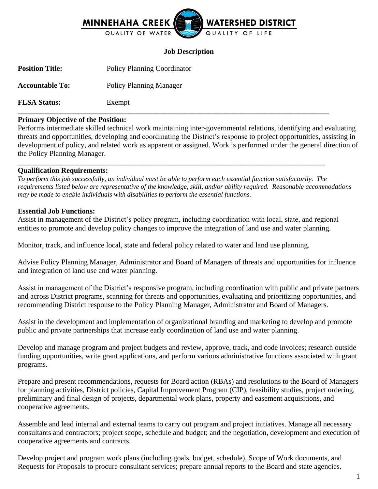

### **Job Description**

**Position Title:** Policy Planning Coordinator

**Accountable To:** Policy Planning Manager

**FLSA Status:** Exempt

# **Primary Objective of the Position:**

Performs intermediate skilled technical work maintaining inter-governmental relations, identifying and evaluating threats and opportunities, developing and coordinating the District's response to project opportunities, assisting in development of policy, and related work as apparent or assigned. Work is performed under the general direction of the Policy Planning Manager.

**\_\_\_\_\_\_\_\_\_\_\_\_\_\_\_\_\_\_\_\_\_\_\_\_\_\_\_\_\_\_\_\_\_\_\_\_\_\_\_\_\_\_\_\_\_\_\_\_\_\_\_\_\_\_\_\_\_\_\_\_\_\_\_\_\_\_\_\_\_\_\_\_\_\_\_\_\_\_\_\_\_\_\_\_**

**\_\_\_\_\_\_\_\_\_\_\_\_\_\_\_\_\_\_\_\_\_\_\_\_\_\_\_\_\_\_\_\_\_\_\_\_\_\_\_\_\_\_\_\_\_\_\_\_\_\_\_\_\_\_\_\_\_\_\_\_\_\_\_\_\_\_\_\_\_\_\_\_\_\_\_\_\_\_\_\_\_\_\_**

#### **Qualification Requirements:**

*To perform this job successfully, an individual must be able to perform each essential function satisfactorily. The requirements listed below are representative of the knowledge, skill, and/or ability required. Reasonable accommodations may be made to enable individuals with disabilities to perform the essential functions.*

#### **Essential Job Functions:**

Assist in management of the District's policy program, including coordination with local, state, and regional entities to promote and develop policy changes to improve the integration of land use and water planning.

Monitor, track, and influence local, state and federal policy related to water and land use planning.

Advise Policy Planning Manager, Administrator and Board of Managers of threats and opportunities for influence and integration of land use and water planning.

Assist in management of the District's responsive program, including coordination with public and private partners and across District programs, scanning for threats and opportunities, evaluating and prioritizing opportunities, and recommending District response to the Policy Planning Manager, Administrator and Board of Managers.

Assist in the development and implementation of organizational branding and marketing to develop and promote public and private partnerships that increase early coordination of land use and water planning.

Develop and manage program and project budgets and review, approve, track, and code invoices; research outside funding opportunities, write grant applications, and perform various administrative functions associated with grant programs.

Prepare and present recommendations, requests for Board action (RBAs) and resolutions to the Board of Managers for planning activities, District policies, Capital Improvement Program (CIP), feasibility studies, project ordering, preliminary and final design of projects, departmental work plans, property and easement acquisitions, and cooperative agreements.

Assemble and lead internal and external teams to carry out program and project initiatives. Manage all necessary consultants and contractors; project scope, schedule and budget; and the negotiation, development and execution of cooperative agreements and contracts.

Develop project and program work plans (including goals, budget, schedule), Scope of Work documents, and Requests for Proposals to procure consultant services; prepare annual reports to the Board and state agencies.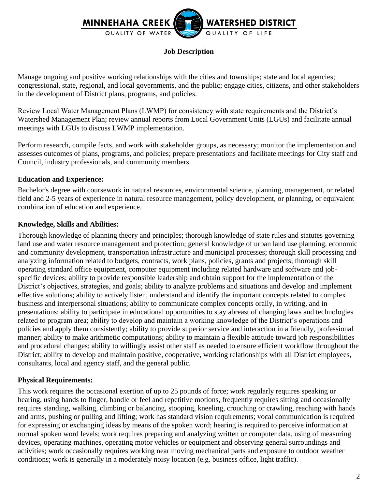

## **Job Description**

Manage ongoing and positive working relationships with the cities and townships; state and local agencies; congressional, state, regional, and local governments, and the public; engage cities, citizens, and other stakeholders in the development of District plans, programs, and policies.

Review Local Water Management Plans (LWMP) for consistency with state requirements and the District's Watershed Management Plan; review annual reports from Local Government Units (LGUs) and facilitate annual meetings with LGUs to discuss LWMP implementation.

Perform research, compile facts, and work with stakeholder groups, as necessary; monitor the implementation and assesses outcomes of plans, programs, and policies; prepare presentations and facilitate meetings for City staff and Council, industry professionals, and community members.

#### **Education and Experience:**

Bachelor's degree with coursework in natural resources, environmental science, planning, management, or related field and 2-5 years of experience in natural resource management, policy development, or planning, or equivalent combination of education and experience.

#### **Knowledge, Skills and Abilities:**

Thorough knowledge of planning theory and principles; thorough knowledge of state rules and statutes governing land use and water resource management and protection; general knowledge of urban land use planning, economic and community development, transportation infrastructure and municipal processes; thorough skill processing and analyzing information related to budgets, contracts, work plans, policies, grants and projects; thorough skill operating standard office equipment, computer equipment including related hardware and software and jobspecific devices; ability to provide responsible leadership and obtain support for the implementation of the District's objectives, strategies, and goals; ability to analyze problems and situations and develop and implement effective solutions; ability to actively listen, understand and identify the important concepts related to complex business and interpersonal situations; ability to communicate complex concepts orally, in writing, and in presentations; ability to participate in educational opportunities to stay abreast of changing laws and technologies related to program area; ability to develop and maintain a working knowledge of the District's operations and policies and apply them consistently; ability to provide superior service and interaction in a friendly, professional manner; ability to make arithmetic computations; ability to maintain a flexible attitude toward job responsibilities and procedural changes; ability to willingly assist other staff as needed to ensure efficient workflow throughout the District; ability to develop and maintain positive, cooperative, working relationships with all District employees, consultants, local and agency staff, and the general public.

#### **Physical Requirements:**

This work requires the occasional exertion of up to 25 pounds of force; work regularly requires speaking or hearing, using hands to finger, handle or feel and repetitive motions, frequently requires sitting and occasionally requires standing, walking, climbing or balancing, stooping, kneeling, crouching or crawling, reaching with hands and arms, pushing or pulling and lifting; work has standard vision requirements; vocal communication is required for expressing or exchanging ideas by means of the spoken word; hearing is required to perceive information at normal spoken word levels; work requires preparing and analyzing written or computer data, using of measuring devices, operating machines, operating motor vehicles or equipment and observing general surroundings and activities; work occasionally requires working near moving mechanical parts and exposure to outdoor weather conditions; work is generally in a moderately noisy location (e.g. business office, light traffic).